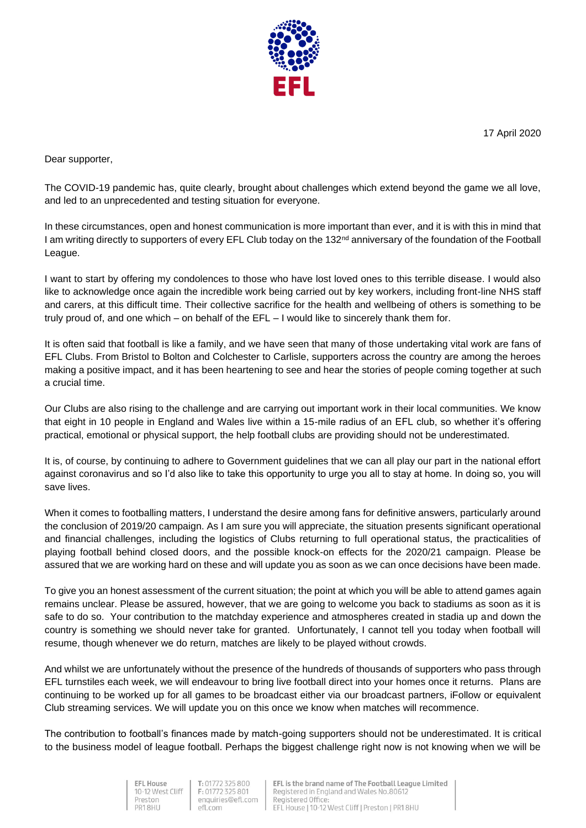17 April 2020



Dear supporter,

The COVID-19 pandemic has, quite clearly, brought about challenges which extend beyond the game we all love, and led to an unprecedented and testing situation for everyone.

In these circumstances, open and honest communication is more important than ever, and it is with this in mind that I am writing directly to supporters of every EFL Club today on the 132<sup>nd</sup> anniversary of the foundation of the Football League.

I want to start by offering my condolences to those who have lost loved ones to this terrible disease. I would also like to acknowledge once again the incredible work being carried out by key workers, including front-line NHS staff and carers, at this difficult time. Their collective sacrifice for the health and wellbeing of others is something to be truly proud of, and one which – on behalf of the EFL – I would like to sincerely thank them for.

It is often said that football is like a family, and we have seen that many of those undertaking vital work are fans of EFL Clubs. From Bristol to Bolton and Colchester to Carlisle, supporters across the country are among the heroes making a positive impact, and it has been heartening to see and hear the stories of people coming together at such a crucial time.

Our Clubs are also rising to the challenge and are carrying out important work in their local communities. We know that eight in 10 people in England and Wales live within a 15-mile radius of an EFL club, so whether it's offering practical, emotional or physical support, the help football clubs are providing should not be underestimated.

It is, of course, by continuing to adhere to Government guidelines that we can all play our part in the national effort against coronavirus and so I'd also like to take this opportunity to urge you all to stay at home. In doing so, you will save lives.

When it comes to footballing matters, I understand the desire among fans for definitive answers, particularly around the conclusion of 2019/20 campaign. As I am sure you will appreciate, the situation presents significant operational and financial challenges, including the logistics of Clubs returning to full operational status, the practicalities of playing football behind closed doors, and the possible knock-on effects for the 2020/21 campaign. Please be assured that we are working hard on these and will update you as soon as we can once decisions have been made.

To give you an honest assessment of the current situation; the point at which you will be able to attend games again remains unclear. Please be assured, however, that we are going to welcome you back to stadiums as soon as it is safe to do so. Your contribution to the matchday experience and atmospheres created in stadia up and down the country is something we should never take for granted. Unfortunately, I cannot tell you today when football will resume, though whenever we do return, matches are likely to be played without crowds.

And whilst we are unfortunately without the presence of the hundreds of thousands of supporters who pass through EFL turnstiles each week, we will endeavour to bring live football direct into your homes once it returns. Plans are continuing to be worked up for all games to be broadcast either via our broadcast partners, iFollow or equivalent Club streaming services. We will update you on this once we know when matches will recommence.

The contribution to football's finances made by match-going supporters should not be underestimated. It is critical to the business model of league football. Perhaps the biggest challenge right now is not knowing when we will be

> **EFL House** 10-12 West Cliff Preston PR1 8HII

T: 01772 325 800 F: 01772 325 801 enquiries@efl.com efl.com

EFL is the brand name of The Football League Limited Registered in England and Wales No.80612 Registered Office EFL House | 10-12 West Cliff | Preston | PR1 8HU